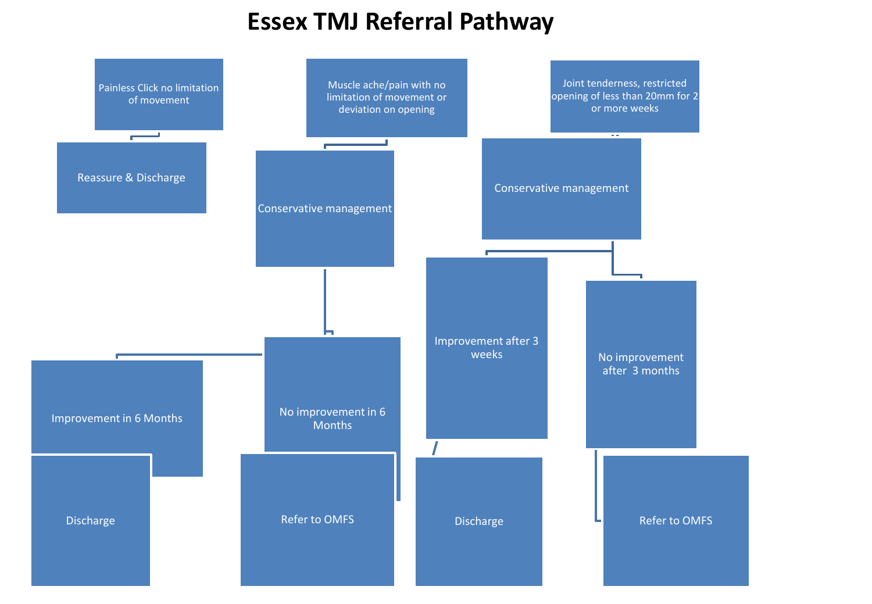## **Essex TMJ Referral Pathway**